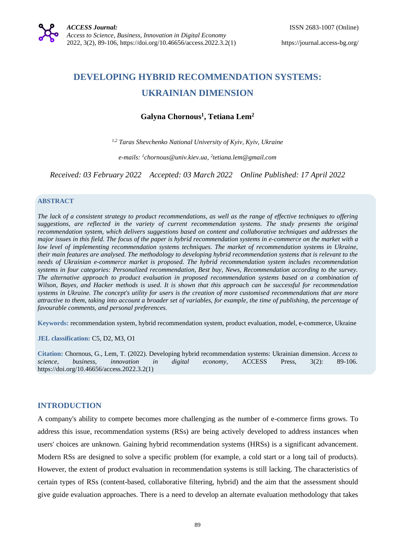# **DEVELOPING HYBRID RECOMMENDATION SYSTEMS: UKRAINIAN DIMENSION**

## **Galyna Chornous<sup>1</sup> , Tetiana Lem<sup>2</sup>**

*1,2 Taras Shevchenko National University of Kyiv, Kyiv, Ukraine*

*e-mails: <sup>1</sup> chornous@univ.kiev.ua, 2 tetiana.lem@gmail.com*

*Received: 03 February 2022 Accepted: 03 March 2022 Online Published: 17 April 2022*

## **ABSTRACT**

*The lack of a consistent strategy to product recommendations, as well as the range of effective techniques to offering suggestions, are reflected in the variety of current recommendation systems. The study presents the original recommendation system, which delivers suggestions based on content and collaborative techniques and addresses the major issues in this field. The focus of the paper is hybrid recommendation systems in e-commerce on the market with a low level of implementing recommendation systems techniques. The market of recommendation systems in Ukraine, their main features are analysed. The methodology to developing hybrid recommendation systems that is relevant to the needs of Ukrainian e-commerce market is proposed. The hybrid recommendation system includes recommendation systems in four categories: Personalized recommendation, Best buy, News, Recommendation according to the survey. The alternative approach to product evaluation in proposed recommendation systems based on a combination of Wilson, Bayes, and Hacker methods is used. It is shown that this approach can be successful for recommendation systems in Ukraine. The concept's utility for users is the creation of more customised recommendations that are more attractive to them, taking into account a broader set of variables, for example, the time of publishing, the percentage of favourable comments, and personal preferences.*

**Keywords:** recommendation system, hybrid recommendation system, product evaluation*,* model, e-commerce, Ukraine

**JEL classification:** C5, D2, M3, O1

**Citation:** Chornous, G., Lem, T. (2022). Developing hybrid recommendation systems: Ukrainian dimension. *Access to science, business, innovation in digital economy,* ACCESS Press, 3(2): 89-106. https://doi.org/10.46656/access.2022.3.2(1)

## **INTRODUCTION**

A company's ability to compete becomes more challenging as the number of e-commerce firms grows. To address this issue, recommendation systems (RSs) are being actively developed to address instances when users' choices are unknown. Gaining hybrid recommendation systems (HRSs) is a significant advancement. Modern RSs are designed to solve a specific problem (for example, a cold start or a long tail of products). However, the extent of product evaluation in recommendation systems is still lacking. The characteristics of certain types of RSs (content-based, collaborative filtering, hybrid) and the aim that the assessment should give guide evaluation approaches. There is a need to develop an alternate evaluation methodology that takes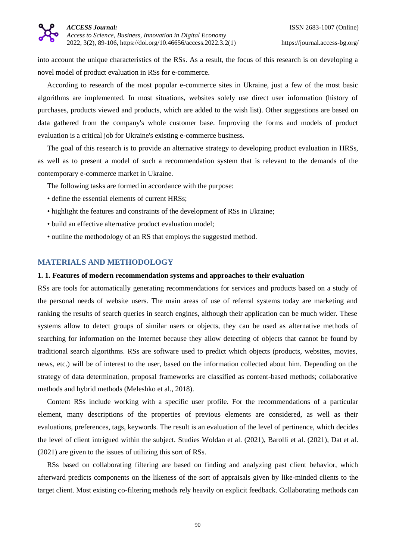

into account the unique characteristics of the RSs. As a result, the focus of this research is on developing a novel model of product evaluation in RSs for e-commerce.

According to research of the most popular e-commerce sites in Ukraine, just a few of the most basic algorithms are implemented. In most situations, websites solely use direct user information (history of purchases, products viewed and products, which are added to the wish list). Other suggestions are based on data gathered from the company's whole customer base. Improving the forms and models of product evaluation is a critical job for Ukraine's existing e-commerce business.

The goal of this research is to provide an alternative strategy to developing product evaluation in HRSs, as well as to present a model of such a recommendation system that is relevant to the demands of the contemporary e-commerce market in Ukraine.

The following tasks are formed in accordance with the purpose:

- define the essential elements of current HRSs;
- highlight the features and constraints of the development of RSs in Ukraine;
- build an effective alternative product evaluation model;
- outline the methodology of an RS that employs the suggested method.

#### **MATERIALS AND METHODOLOGY**

#### **1. 1. Features of modern recommendation systems and approaches to their evaluation**

RSs are tools for automatically generating recommendations for services and products based on a study of the personal needs of website users. The main areas of use of referral systems today are marketing and ranking the results of search queries in search engines, although their application can be much wider. These systems allow to detect groups of similar users or objects, they can be used as alternative methods of searching for information on the Internet because they allow detecting of objects that cannot be found by traditional search algorithms. RSs are software used to predict which objects (products, websites, movies, news, etc.) will be of interest to the user, based on the information collected about him. Depending on the strategy of data determination, proposal frameworks are classified as content-based methods; collaborative methods and hybrid methods (Meleshko et al., 2018).

Content RSs include working with a specific user profile. For the recommendations of a particular element, many descriptions of the properties of previous elements are considered, as well as their evaluations, preferences, tags, keywords. The result is an evaluation of the level of pertinence, which decides the level of client intrigued within the subject. Studies Woldan et al. (2021), Barolli et al. (2021), Dat et al. (2021) are given to the issues of utilizing this sort of RSs.

RSs based on collaborating filtering are based on finding and analyzing past client behavior, which afterward predicts components on the likeness of the sort of appraisals given by like-minded clients to the target client. Most existing co-filtering methods rely heavily on explicit feedback. Collaborating methods can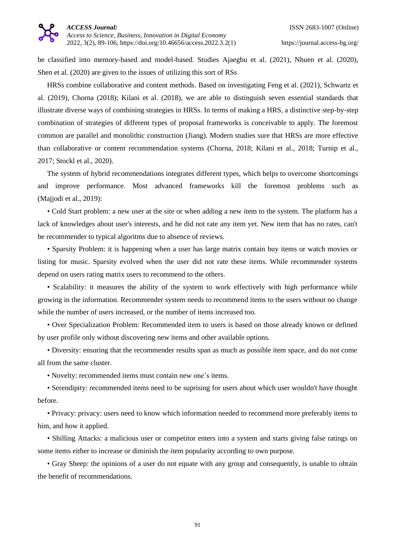

be classified into memory-based and model-based. Studies Ajaegbu et al. (2021), Nhuen et al. (2020), Shen et al. (2020) are given to the issues of utilizing this sort of RSs

HRSs combine collaborative and content methods. Based on investigating Feng et al. (2021), Schwartz et al. (2019), Chorna (2018); Kilani et al. (2018), we are able to distinguish seven essential standards that illustrate diverse ways of combining strategies in HRSs. In terms of making a HRS, a distinctive step-by-step combination of strategies of different types of proposal frameworks is conceivable to apply. The foremost common are parallel and monolithic construction (Jiang). Modern studies sure that HRSs are more effective than collaborative or content recommendation systems (Chorna, 2018; Kilani et al., 2018; Turnip et al., 2017; Stockl et al., 2020).

The system of hybrid recommendations integrates different types, which helps to overcome shortcomings and improve performance. Most advanced frameworks kill the foremost problems such as (Majjodi et al., 2019):

• Cold Start problem: a new user at the site or when adding a new item to the system. The platform has a lack of knowledges about user's interests, and he did not rate any item yet. New item that has no rates, can't be recommender to typical algoritms due to absence of reviews.

• Sparsity Problem: it is happening when a user has large matrix contain buy items or watch movies or listing for music. Sparsity evolved when the user did not rate these items. While recommender systems depend on users rating matrix users to recommend to the others.

• Scalability: it measures the ability of the system to work effectively with high performance while growing in the information. Recommender system needs to recommend items to the users without no change while the number of users increased, or the number of items increased too.

• Over Specialization Problem: Recommended item to users is based on those already known or defined by user profile only without discovering new items and other available options.

• Diversity: ensuring that the recommender results span as much as possible item space, and do not come all from the same cluster.

• Novelty: recommended items must contain new one's items.

• Serendipity: recommended items need to be suprising for users about which user wouldn't have thought before.

• Privacy: privacy: users need to know which information needed to recommend more preferably items to him, and how it applied.

• Shilling Attacks: a malicious user or competitor enters into a system and starts giving false ratings on some items either to increase or diminish the item popularity according to own purpose.

• Gray Sheep: the opinions of a user do not equate with any group and consequently, is unable to obtain the benefit of recommendations.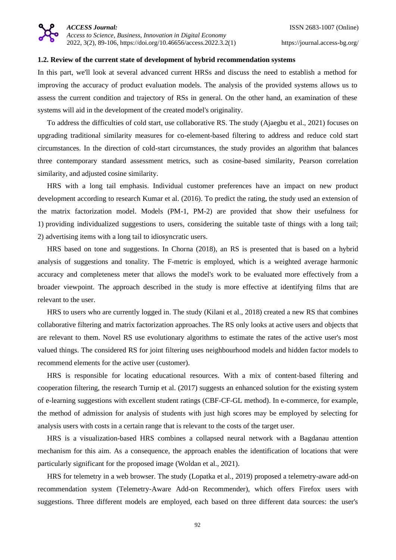## **1.2. Review of the current state of development of hybrid recommendation systems**

In this part, we'll look at several advanced current HRSs and discuss the need to establish a method for improving the accuracy of product evaluation models. The analysis of the provided systems allows us to assess the current condition and trajectory of RSs in general. On the other hand, an examination of these systems will aid in the development of the created model's originality.

To address the difficulties of cold start, use collaborative RS. The study (Ajaegbu et al., 2021) focuses on upgrading traditional similarity measures for co-element-based filtering to address and reduce cold start circumstances. In the direction of cold-start circumstances, the study provides an algorithm that balances three contemporary standard assessment metrics, such as cosine-based similarity, Pearson correlation similarity, and adjusted cosine similarity.

HRS with a long tail emphasis. Individual customer preferences have an impact on new product development according to research Kumar et al. (2016). To predict the rating, the study used an extension of the matrix factorization model. Models (PM-1, PM-2) are provided that show their usefulness for 1) providing individualized suggestions to users, considering the suitable taste of things with a long tail; 2) advertising items with a long tail to idiosyncratic users.

HRS based on tone and suggestions. In Chorna (2018), an RS is presented that is based on a hybrid analysis of suggestions and tonality. The F-metric is employed, which is a weighted average harmonic accuracy and completeness meter that allows the model's work to be evaluated more effectively from a broader viewpoint. The approach described in the study is more effective at identifying films that are relevant to the user.

HRS to users who are currently logged in. The study (Kilani et al., 2018) created a new RS that combines collaborative filtering and matrix factorization approaches. The RS only looks at active users and objects that are relevant to them. Novel RS use evolutionary algorithms to estimate the rates of the active user's most valued things. The considered RS for joint filtering uses neighbourhood models and hidden factor models to recommend elements for the active user (customer).

HRS is responsible for locating educational resources. With a mix of content-based filtering and cooperation filtering, the research Turnip et al. (2017) suggests an enhanced solution for the existing system of e-learning suggestions with excellent student ratings (CBF-CF-GL method). In e-commerce, for example, the method of admission for analysis of students with just high scores may be employed by selecting for analysis users with costs in a certain range that is relevant to the costs of the target user.

HRS is a visualization-based HRS combines a collapsed neural network with a Bagdanau attention mechanism for this aim. As a consequence, the approach enables the identification of locations that were particularly significant for the proposed image (Woldan et al., 2021).

HRS for telemetry in a web browser. The study (Lopatka et al., 2019) proposed a telemetry-aware add-on recommendation system (Telemetry-Aware Add-on Recommender), which offers Firefox users with suggestions. Three different models are employed, each based on three different data sources: the user's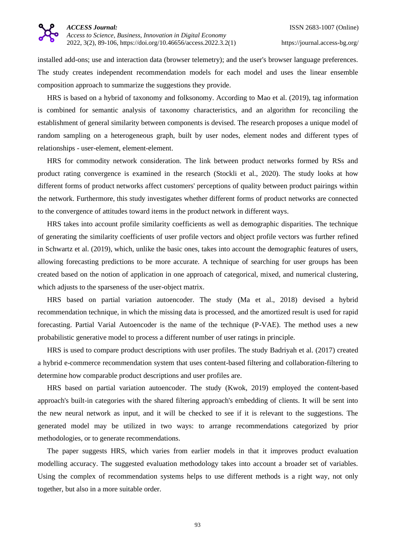

installed add-ons; use and interaction data (browser telemetry); and the user's browser language preferences. The study creates independent recommendation models for each model and uses the linear ensemble composition approach to summarize the suggestions they provide.

HRS is based on a hybrid of taxonomy and folksonomy. According to Mao et al. (2019), tag information is combined for semantic analysis of taxonomy characteristics, and an algorithm for reconciling the establishment of general similarity between components is devised. The research proposes a unique model of random sampling on a heterogeneous graph, built by user nodes, element nodes and different types of relationships - user-element, element-element.

HRS for commodity network consideration. The link between product networks formed by RSs and product rating convergence is examined in the research (Stockli et al., 2020). The study looks at how different forms of product networks affect customers' perceptions of quality between product pairings within the network. Furthermore, this study investigates whether different forms of product networks are connected to the convergence of attitudes toward items in the product network in different ways.

HRS takes into account profile similarity coefficients as well as demographic disparities. The technique of generating the similarity coefficients of user profile vectors and object profile vectors was further refined in Schwartz et al. (2019), which, unlike the basic ones, takes into account the demographic features of users, allowing forecasting predictions to be more accurate. A technique of searching for user groups has been created based on the notion of application in one approach of categorical, mixed, and numerical clustering, which adjusts to the sparseness of the user-object matrix.

HRS based on partial variation autoencoder. The study (Ma et al., 2018) devised a hybrid recommendation technique, in which the missing data is processed, and the amortized result is used for rapid forecasting. Partial Varial Autoencoder is the name of the technique (P-VAE). The method uses a new probabilistic generative model to process a different number of user ratings in principle.

HRS is used to compare product descriptions with user profiles. The study Badriyah et al. (2017) created a hybrid e-commerce recommendation system that uses content-based filtering and collaboration-filtering to determine how comparable product descriptions and user profiles are.

HRS based on partial variation autoencoder. The study (Kwok, 2019) employed the content-based approach's built-in categories with the shared filtering approach's embedding of clients. It will be sent into the new neural network as input, and it will be checked to see if it is relevant to the suggestions. The generated model may be utilized in two ways: to arrange recommendations categorized by prior methodologies, or to generate recommendations.

The paper suggests HRS, which varies from earlier models in that it improves product evaluation modelling accuracy. The suggested evaluation methodology takes into account a broader set of variables. Using the complex of recommendation systems helps to use different methods is a right way, not only together, but also in a more suitable order.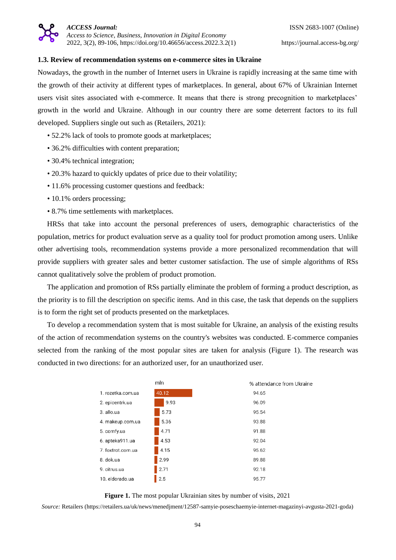## **1.3. Review of recommendation systems on e-commerce sites in Ukraine**

Nowadays, the growth in the number of Internet users in Ukraine is rapidly increasing at the same time with the growth of their activity at different types of marketplaces. In general, about 67% of Ukrainian Internet users visit sites associated with e-commerce. It means that there is strong precognition to marketplaces' growth in the world and Ukraine. Although in our country there are some deterrent factors to its full developed. Suppliers single out such as (Retailers, 2021):

- 52.2% lack of tools to promote goods at marketplaces;
- 36.2% difficulties with content preparation;
- 30.4% technical integration;
- 20.3% hazard to quickly updates of price due to their volatility;
- 11.6% processing customer questions and feedback:
- 10.1% orders processing;
- 8.7% time settlements with marketplaces.

HRSs that take into account the personal preferences of users, demographic characteristics of the population, metrics for product evaluation serve as a quality tool for product promotion among users. Unlike other advertising tools, recommendation systems provide a more personalized recommendation that will provide suppliers with greater sales and better customer satisfaction. The use of simple algorithms of RSs cannot qualitatively solve the problem of product promotion.

The application and promotion of RSs partially eliminate the problem of forming a product description, as the priority is to fill the description on specific items. And in this case, the task that depends on the suppliers is to form the right set of products presented on the marketplaces.

To develop a recommendation system that is most suitable for Ukraine, an analysis of the existing results of the action of recommendation systems on the country's websites was conducted. E-commerce companies selected from the ranking of the most popular sites are taken for analysis (Figure 1). The research was conducted in two directions: for an authorized user, for an unauthorized user.

|                   | mln   | % attendance from Ukraine |
|-------------------|-------|---------------------------|
| 1. rozetka.com.ua | 40.12 | 94.65                     |
| 2. epicentrk.ua   | 9.93  | 96.09                     |
| 3. allo.ua        | 5.73  | 95.54                     |
| 4. makeup.com.ua  | 5.36  | 93.88                     |
| 5. comfy.ua       | 4.71  | 91.88                     |
| 6. apteka911.ua   | 4.53  | 92.04                     |
| 7. foxtrot.com.ua | 4.15  | 95.62                     |
| 8. dok.ua         | 2.99  | 89.88                     |
| 9. citrus.ua      | 2.71  | 92.18                     |
| 10. eldorado.ua   | 2.5   | 95.77                     |

**Figure 1.** The most popular Ukrainian sites by number of visits, 2021

*Source:* Retailers (https://retailers.ua/uk/news/menedjment/12587-samyie-poseschaemyie-internet-magazinyi-avgusta-2021-goda)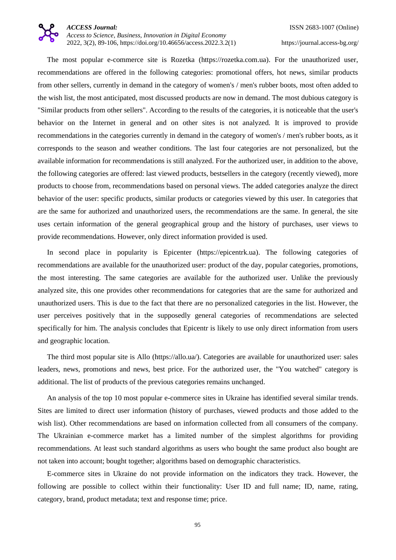

The most popular e-commerce site is Rozetka (https://rozetka.com.ua). For the unauthorized user, recommendations are offered in the following categories: promotional offers, hot news, similar products from other sellers, currently in demand in the category of women's / men's rubber boots, most often added to the wish list, the most anticipated, most discussed products are now in demand. The most dubious category is "Similar products from other sellers". According to the results of the categories, it is noticeable that the user's behavior on the Internet in general and on other sites is not analyzed. It is improved to provide recommendations in the categories currently in demand in the category of women's / men's rubber boots, as it corresponds to the season and weather conditions. The last four categories are not personalized, but the available information for recommendations is still analyzed. For the authorized user, in addition to the above, the following categories are offered: last viewed products, bestsellers in the category (recently viewed), more products to choose from, recommendations based on personal views. The added categories analyze the direct behavior of the user: specific products, similar products or categories viewed by this user. In categories that are the same for authorized and unauthorized users, the recommendations are the same. In general, the site uses certain information of the general geographical group and the history of purchases, user views to provide recommendations. However, only direct information provided is used.

In second place in popularity is Epicenter (https://epicentrk.ua). The following categories of recommendations are available for the unauthorized user: product of the day, popular categories, promotions, the most interesting. The same categories are available for the authorized user. Unlike the previously analyzed site, this one provides other recommendations for categories that are the same for authorized and unauthorized users. This is due to the fact that there are no personalized categories in the list. However, the user perceives positively that in the supposedly general categories of recommendations are selected specifically for him. The analysis concludes that Epicentr is likely to use only direct information from users and geographic location.

The third most popular site is Allo (https://allo.ua/). Categories are available for unauthorized user: sales leaders, news, promotions and news, best price. For the authorized user, the "You watched" category is additional. The list of products of the previous categories remains unchanged.

An analysis of the top 10 most popular e-commerce sites in Ukraine has identified several similar trends. Sites are limited to direct user information (history of purchases, viewed products and those added to the wish list). Other recommendations are based on information collected from all consumers of the company. The Ukrainian e-commerce market has a limited number of the simplest algorithms for providing recommendations. At least such standard algorithms as users who bought the same product also bought are not taken into account; bought together; algorithms based on demographic characteristics.

E-commerce sites in Ukraine do not provide information on the indicators they track. However, the following are possible to collect within their functionality: User ID and full name; ID, name, rating, category, brand, product metadata; text and response time; price.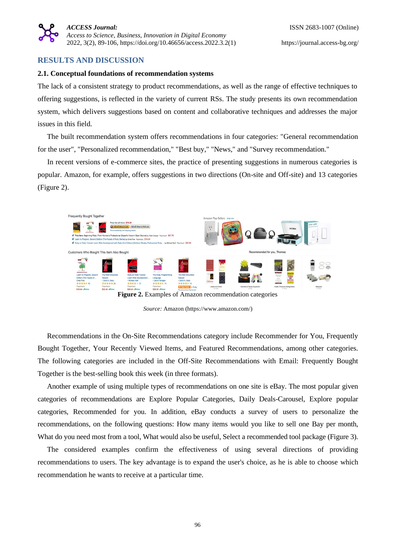## **RESULTS AND DISCUSSION**

#### **2.1. Conceptual foundations of recommendation systems**

The lack of a consistent strategy to product recommendations, as well as the range of effective techniques to offering suggestions, is reflected in the variety of current RSs. The study presents its own recommendation system, which delivers suggestions based on content and collaborative techniques and addresses the major issues in this field.

The built recommendation system offers recommendations in four categories: "General recommendation for the user", "Personalized recommendation," "Best buy," "News," and "Survey recommendation."

In recent versions of e-commerce sites, the practice of presenting suggestions in numerous categories is popular. Amazon, for example, offers suggestions in two directions (On-site and Off-site) and 13 categories (Figure 2).



**Figure 2.** Examples of Amazon recommendation categories

*Source:* Amazon [\(https://www.amazon.com/\)](https://www.amazon.com/)

Recommendations in the On-Site Recommendations category include Recommender for You, Frequently Bought Together, Your Recently Viewed Items, and Featured Recommendations, among other categories. The following categories are included in the Off-Site Recommendations with Email: Frequently Bought Together is the best-selling book this week (in three formats).

Another example of using multiple types of recommendations on one site is eBay. The most popular given categories of recommendations are Explore Popular Categories, Daily Deals-Carousel, Explore popular categories, Recommended for you. In addition, eBay conducts a survey of users to personalize the recommendations, on the following questions: How many items would you like to sell one Bay per month, What do you need most from a tool, What would also be useful, Select a recommended tool package (Figure 3).

The considered examples confirm the effectiveness of using several directions of providing recommendations to users. The key advantage is to expand the user's choice, as he is able to choose which recommendation he wants to receive at a particular time.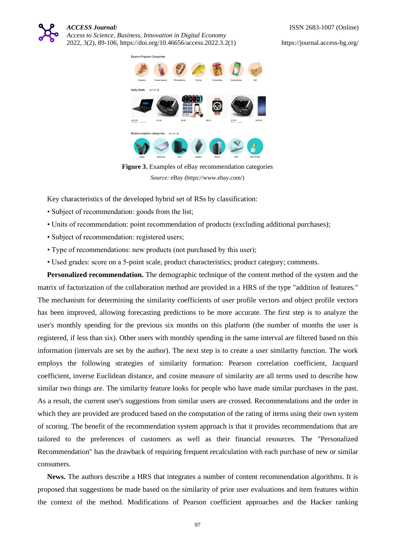



**Figure 3.** Examples of eBay recommendation categories *Source:* eBay [\(https://www.ebay.com/\)](https://www.ebay.com/)

Key characteristics of the developed hybrid set of RSs by classification:

- Subject of recommendation: goods from the list;
- Units of recommendation: point recommendation of products (excluding additional purchases);
- Subject of recommendation: registered users;
- Type of recommendations: new products (not purchased by this user);
- Used grades: score on a 5-point scale, product characteristics; product category; comments.

**Personalized recommendation.** The demographic technique of the content method of the system and the matrix of factorization of the collaboration method are provided in a HRS of the type "addition of features." The mechanism for determining the similarity coefficients of user profile vectors and object profile vectors has been improved, allowing forecasting predictions to be more accurate. The first step is to analyze the user's monthly spending for the previous six months on this platform (the number of months the user is registered, if less than six). Other users with monthly spending in the same interval are filtered based on this information (intervals are set by the author). The next step is to create a user similarity function. The work employs the following strategies of similarity formation: Pearson correlation coefficient, Jacquard coefficient, inverse Euclidean distance, and cosine measure of similarity are all terms used to describe how similar two things are. The similarity feature looks for people who have made similar purchases in the past. As a result, the current user's suggestions from similar users are crossed. Recommendations and the order in which they are provided are produced based on the computation of the rating of items using their own system of scoring. The benefit of the recommendation system approach is that it provides recommendations that are tailored to the preferences of customers as well as their financial resources. The "Personalized Recommendation" has the drawback of requiring frequent recalculation with each purchase of new or similar consumers.

**News.** The authors describe a HRS that integrates a number of content recommendation algorithms. It is proposed that suggestions be made based on the similarity of prior user evaluations and item features within the context of the method. Modifications of Pearson coefficient approaches and the Hacker ranking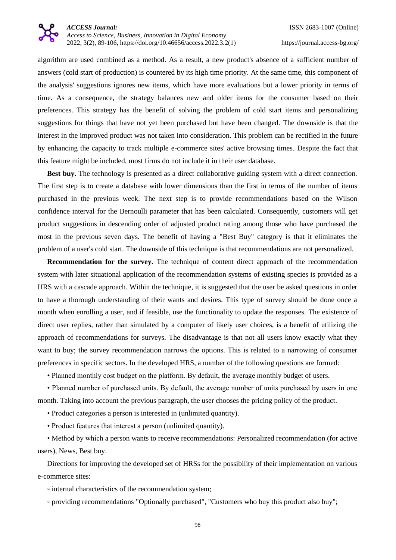

algorithm are used combined as a method. As a result, a new product's absence of a sufficient number of answers (cold start of production) is countered by its high time priority. At the same time, this component of the analysis' suggestions ignores new items, which have more evaluations but a lower priority in terms of time. As a consequence, the strategy balances new and older items for the consumer based on their preferences. This strategy has the benefit of solving the problem of cold start items and personalizing suggestions for things that have not yet been purchased but have been changed. The downside is that the interest in the improved product was not taken into consideration. This problem can be rectified in the future by enhancing the capacity to track multiple e-commerce sites' active browsing times. Despite the fact that this feature might be included, most firms do not include it in their user database.

**Best buy.** The technology is presented as a direct collaborative guiding system with a direct connection. The first step is to create a database with lower dimensions than the first in terms of the number of items purchased in the previous week. The next step is to provide recommendations based on the Wilson confidence interval for the Bernoulli parameter that has been calculated. Consequently, customers will get product suggestions in descending order of adjusted product rating among those who have purchased the most in the previous seven days. The benefit of having a "Best Buy" category is that it eliminates the problem of a user's cold start. The downside of this technique is that recommendations are not personalized.

**Recommendation for the survey.** The technique of content direct approach of the recommendation system with later situational application of the recommendation systems of existing species is provided as a HRS with a cascade approach. Within the technique, it is suggested that the user be asked questions in order to have a thorough understanding of their wants and desires. This type of survey should be done once a month when enrolling a user, and if feasible, use the functionality to update the responses. The existence of direct user replies, rather than simulated by a computer of likely user choices, is a benefit of utilizing the approach of recommendations for surveys. The disadvantage is that not all users know exactly what they want to buy; the survey recommendation narrows the options. This is related to a narrowing of consumer preferences in specific sectors. In the developed HRS, a number of the following questions are formed:

• Planned monthly cost budget on the platform. By default, the average monthly budget of users.

• Planned number of purchased units. By default, the average number of units purchased by users in one month. Taking into account the previous paragraph, the user chooses the pricing policy of the product.

• Product categories a person is interested in (unlimited quantity).

• Product features that interest a person (unlimited quantity).

• Method by which a person wants to receive recommendations: Personalized recommendation (for active users), News, Best buy.

Directions for improving the developed set of HRSs for the possibility of their implementation on various e-commerce sites:

▫ internal characteristics of the recommendation system;

▫ providing recommendations "Optionally purchased", "Customers who buy this product also buy";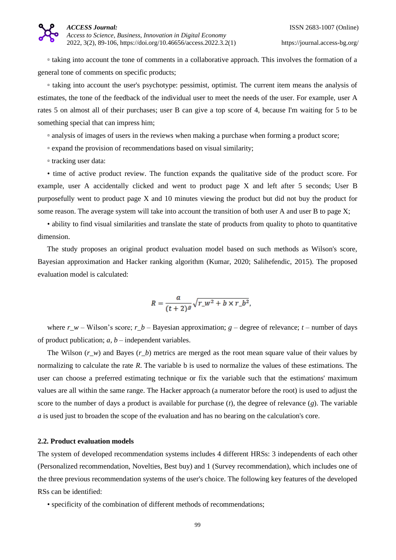▫ taking into account the tone of comments in a collaborative approach. This involves the formation of a general tone of comments on specific products;

▫ taking into account the user's psychotype: pessimist, optimist. The current item means the analysis of estimates, the tone of the feedback of the individual user to meet the needs of the user. For example, user A rates 5 on almost all of their purchases; user B can give a top score of 4, because I'm waiting for 5 to be something special that can impress him;

▫ analysis of images of users in the reviews when making a purchase when forming a product score;

- expand the provision of recommendations based on visual similarity;
- tracking user data:

• time of active product review. The function expands the qualitative side of the product score. For example, user A accidentally clicked and went to product page X and left after 5 seconds; User B purposefully went to product page X and 10 minutes viewing the product but did not buy the product for some reason. The average system will take into account the transition of both user A and user B to page X;

• ability to find visual similarities and translate the state of products from quality to photo to quantitative dimension.

The study proposes an original product evaluation model based on such methods as Wilson's score, Bayesian approximation and Hacker ranking algorithm (Kumar, 2020; Salihefendic, 2015). The proposed evaluation model is calculated:

$$
R = \frac{a}{(t+2)^g} \sqrt{r_w^2 + b \times r_b^2},
$$

where  $r_w -$  Wilson's score;  $r_b -$  Bayesian approximation;  $g -$  degree of relevance;  $t -$  number of days of product publication; *a, b* – independent variables.

The Wilson (*r\_w*) and Bayes (*r\_b*) metrics are merged as the root mean square value of their values by normalizing to calculate the rate *R*. The variable b is used to normalize the values of these estimations. The user can choose a preferred estimating technique or fix the variable such that the estimations' maximum values are all within the same range. The Hacker approach (a numerator before the root) is used to adjust the score to the number of days a product is available for purchase (*t*), the degree of relevance (*g*). The variable *a* is used just to broaden the scope of the evaluation and has no bearing on the calculation's core.

#### **2.2. Product evaluation models**

The system of developed recommendation systems includes 4 different HRSs: 3 independents of each other (Personalized recommendation, Novelties, Best buy) and 1 (Survey recommendation), which includes one of the three previous recommendation systems of the user's choice. The following key features of the developed RSs can be identified:

• specificity of the combination of different methods of recommendations;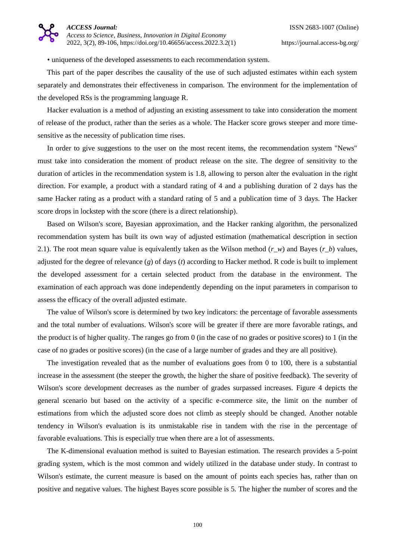• uniqueness of the developed assessments to each recommendation system.

This part of the paper describes the causality of the use of such adjusted estimates within each system separately and demonstrates their effectiveness in comparison. The environment for the implementation of the developed RSs is the programming language R.

Hacker evaluation is a method of adjusting an existing assessment to take into consideration the moment of release of the product, rather than the series as a whole. The Hacker score grows steeper and more timesensitive as the necessity of publication time rises.

In order to give suggestions to the user on the most recent items, the recommendation system "News" must take into consideration the moment of product release on the site. The degree of sensitivity to the duration of articles in the recommendation system is 1.8, allowing to person alter the evaluation in the right direction. For example, a product with a standard rating of 4 and a publishing duration of 2 days has the same Hacker rating as a product with a standard rating of 5 and a publication time of 3 days. The Hacker score drops in lockstep with the score (there is a direct relationship).

Based on Wilson's score, Bayesian approximation, and the Hacker ranking algorithm, the personalized recommendation system has built its own way of adjusted estimation (mathematical description in section 2.1). The root mean square value is equivalently taken as the Wilson method (*r\_w*) and Bayes (*r\_b*) values, adjusted for the degree of relevance (*g*) of days (*t*) according to Hacker method. R code is built to implement the developed assessment for a certain selected product from the database in the environment. The examination of each approach was done independently depending on the input parameters in comparison to assess the efficacy of the overall adjusted estimate.

The value of Wilson's score is determined by two key indicators: the percentage of favorable assessments and the total number of evaluations. Wilson's score will be greater if there are more favorable ratings, and the product is of higher quality. The ranges go from 0 (in the case of no grades or positive scores) to 1 (in the case of no grades or positive scores) (in the case of a large number of grades and they are all positive).

The investigation revealed that as the number of evaluations goes from 0 to 100, there is a substantial increase in the assessment (the steeper the growth, the higher the share of positive feedback). The severity of Wilson's score development decreases as the number of grades surpassed increases. Figure 4 depicts the general scenario but based on the activity of a specific e-commerce site, the limit on the number of estimations from which the adjusted score does not climb as steeply should be changed. Another notable tendency in Wilson's evaluation is its unmistakable rise in tandem with the rise in the percentage of favorable evaluations. This is especially true when there are a lot of assessments.

The K-dimensional evaluation method is suited to Bayesian estimation. The research provides a 5-point grading system, which is the most common and widely utilized in the database under study. In contrast to Wilson's estimate, the current measure is based on the amount of points each species has, rather than on positive and negative values. The highest Bayes score possible is 5. The higher the number of scores and the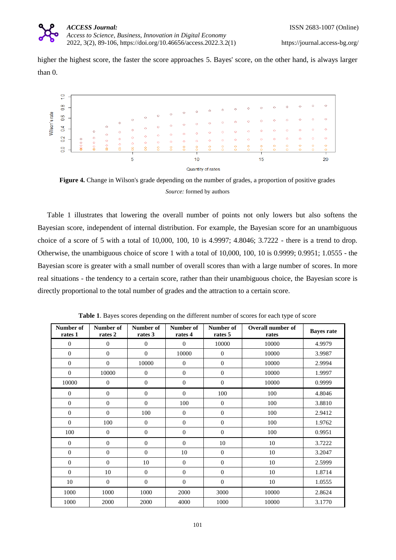

higher the highest score, the faster the score approaches 5. Bayes' score, on the other hand, is always larger than 0.



**Figure 4.** Change in Wilson's grade depending on the number of grades, a proportion of positive grades *Source:* formed by authors

Table 1 illustrates that lowering the overall number of points not only lowers but also softens the Bayesian score, independent of internal distribution. For example, the Bayesian score for an unambiguous choice of a score of 5 with a total of 10,000, 100, 10 is 4.9997; 4.8046; 3.7222 - there is a trend to drop. Otherwise, the unambiguous choice of score 1 with a total of 10,000, 100, 10 is 0.9999; 0.9951; 1.0555 - the Bayesian score is greater with a small number of overall scores than with a large number of scores. In more real situations - the tendency to a certain score, rather than their unambiguous choice, the Bayesian score is directly proportional to the total number of grades and the attraction to a certain score.

| Number of<br>rates 1 | Number of<br>rates 2 | Number of<br>rates 3 | Number of<br>rates 4 | Number of<br>rates 5 | <b>Overall number of</b><br>rates | <b>Bayes rate</b> |
|----------------------|----------------------|----------------------|----------------------|----------------------|-----------------------------------|-------------------|
| $\boldsymbol{0}$     | $\boldsymbol{0}$     | $\mathbf{0}$         | $\mathbf{0}$         | 10000                | 10000                             | 4.9979            |
| $\boldsymbol{0}$     | $\theta$             | $\boldsymbol{0}$     | 10000                | $\mathbf{0}$         | 10000                             | 3.9987            |
| $\boldsymbol{0}$     | $\boldsymbol{0}$     | 10000                | $\mathbf{0}$         | $\mathbf{0}$         | 10000                             | 2.9994            |
| $\boldsymbol{0}$     | 10000                | $\mathbf{0}$         | $\mathbf{0}$         | $\boldsymbol{0}$     | 10000                             | 1.9997            |
| 10000                | $\boldsymbol{0}$     | $\boldsymbol{0}$     | $\mathbf{0}$         | $\boldsymbol{0}$     | 10000                             | 0.9999            |
| $\boldsymbol{0}$     | $\mathbf{0}$         | $\boldsymbol{0}$     | $\mathbf{0}$         | 100                  | 100                               | 4.8046            |
| $\mathbf{0}$         | $\overline{0}$       | $\mathbf{0}$         | 100                  | $\overline{0}$       | 100                               | 3.8810            |
| $\boldsymbol{0}$     | $\boldsymbol{0}$     | 100                  | $\mathbf{0}$         | $\boldsymbol{0}$     | 100                               | 2.9412            |
| $\mathbf{0}$         | 100                  | $\mathbf{0}$         | $\mathbf{0}$         | $\overline{0}$       | 100                               | 1.9762            |
| 100                  | $\boldsymbol{0}$     | $\mathbf{0}$         | $\mathbf{0}$         | $\overline{0}$       | 100                               | 0.9951            |
| $\mathbf{0}$         | $\boldsymbol{0}$     | $\boldsymbol{0}$     | $\mathbf{0}$         | 10                   | 10                                | 3.7222            |
| $\mathbf{0}$         | $\overline{0}$       | $\mathbf{0}$         | 10                   | $\overline{0}$       | 10                                | 3.2047            |
| $\boldsymbol{0}$     | $\mathbf{0}$         | 10                   | $\mathbf{0}$         | $\overline{0}$       | 10                                | 2.5999            |
| $\mathbf{0}$         | 10                   | $\mathbf{0}$         | $\mathbf{0}$         | $\overline{0}$       | 10                                | 1.8714            |
| 10                   | $\mathbf{0}$         | $\mathbf{0}$         | $\Omega$             | $\mathbf{0}$         | 10                                | 1.0555            |
| 1000                 | 1000                 | 1000                 | 2000                 | 3000                 | 10000                             | 2.8624            |
| 1000                 | 2000                 | 2000                 | 4000                 | 1000                 | 10000                             | 3.1770            |

**Table 1**. Bayes scores depending on the different number of scores for each type of score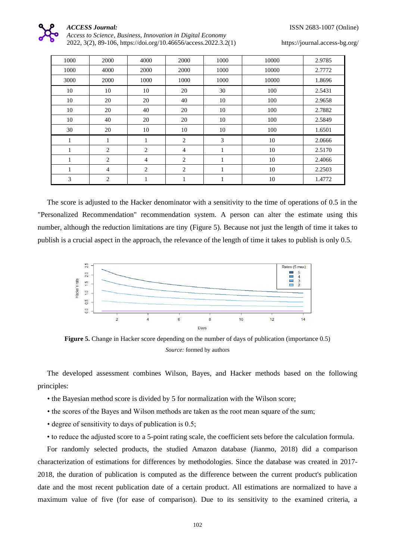

## *ACCESS Journal:*

*Access to Science, Business, Innovation in Digital Economy* 2022, 3(2), 89-106[, https://doi.org/10.46656/access.2022.3.2\(1\)](https://doi.org/10.46656/access.2022.3.2(1)) <https://journal.access-bg.org/>

| 1000 | 2000           | 4000           | 2000           | 1000         | 10000 | 2.9785 |
|------|----------------|----------------|----------------|--------------|-------|--------|
| 1000 | 4000           | 2000           | 2000           | 1000         | 10000 | 2.7772 |
| 3000 | 2000           | 1000           | 1000           | 1000         | 10000 | 1.8696 |
| 10   | 10             | 10             | 20             | 30           | 100   | 2.5431 |
| 10   | 20             | 20             | 40             | 10           | 100   | 2.9658 |
| 10   | 20             | 40             | 20             | 10           | 100   | 2.7882 |
| 10   | 40             | 20             | 20             | 10           | 100   | 2.5849 |
| 30   | 20             | 10             | 10             | 10           | 100   | 1.6501 |
| 1    | 1              | $\mathbf{1}$   | 2              | 3            | 10    | 2.0666 |
| 1    | 2              | $\overline{2}$ | $\overline{4}$ | $\mathbf{1}$ | 10    | 2.5170 |
| 1    | 2              | $\overline{4}$ | 2              | $\mathbf{1}$ | 10    | 2.4066 |
| 1    | $\overline{4}$ | $\overline{2}$ | $\overline{2}$ | $\mathbf{1}$ | 10    | 2.2503 |
| 3    | 2              | 1              | 1              | 1            | 10    | 1.4772 |

The score is adjusted to the Hacker denominator with a sensitivity to the time of operations of 0.5 in the "Personalized Recommendation" recommendation system. A person can alter the estimate using this number, although the reduction limitations are tiny (Figure 5). Because not just the length of time it takes to publish is a crucial aspect in the approach, the relevance of the length of time it takes to publish is only 0.5.



**Figure 5.** Change in Hacker score depending on the number of days of publication (importance 0.5) *Source:* formed by authors

The developed assessment combines Wilson, Bayes, and Hacker methods based on the following principles:

- the Bayesian method score is divided by 5 for normalization with the Wilson score;
- the scores of the Bayes and Wilson methods are taken as the root mean square of the sum;
- degree of sensitivity to days of publication is 0.5;
- to reduce the adjusted score to a 5-point rating scale, the coefficient sets before the calculation formula.

For randomly selected products, the studied Amazon database (Jianmo, 2018) did a comparison characterization of estimations for differences by methodologies. Since the database was created in 2017- 2018, the duration of publication is computed as the difference between the current product's publication date and the most recent publication date of a certain product. All estimations are normalized to have a maximum value of five (for ease of comparison). Due to its sensitivity to the examined criteria, a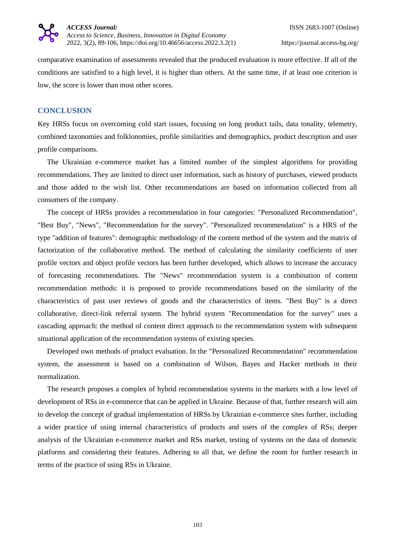

comparative examination of assessments revealed that the produced evaluation is more effective. If all of the conditions are satisfied to a high level, it is higher than others. At the same time, if at least one criterion is low, the score is lower than most other scores.

## **CONCLUSION**

Key HRSs focus on overcoming cold start issues, focusing on long product tails, data tonality, telemetry, combined taxonomies and folklonomies, profile similarities and demographics, product description and user profile comparisons.

The Ukrainian e-commerce market has a limited number of the simplest algorithms for providing recommendations. They are limited to direct user information, such as history of purchases, viewed products and those added to the wish list. Other recommendations are based on information collected from all consumers of the company.

The concept of HRSs provides a recommendation in four categories: "Personalized Recommendation", "Best Buy", "News", "Recommendation for the survey". "Personalized recommendation" is a HRS of the type "addition of features": demographic methodology of the content method of the system and the matrix of factorization of the collaborative method. The method of calculating the similarity coefficients of user profile vectors and object profile vectors has been further developed, which allows to increase the accuracy of forecasting recommendations. The "News" recommendation system is a combination of content recommendation methods: it is proposed to provide recommendations based on the similarity of the characteristics of past user reviews of goods and the characteristics of items. "Best Buy" is a direct collaborative, direct-link referral system. The hybrid system "Recommendation for the survey" uses a cascading approach: the method of content direct approach to the recommendation system with subsequent situational application of the recommendation systems of existing species.

Developed own methods of product evaluation. In the "Personalized Recommendation" recommendation system, the assessment is based on a combination of Wilson, Bayes and Hacker methods in their normalization.

The research proposes a complex of hybrid recommendation systems in the markets with a low level of development of RSs in e-commerce that can be applied in Ukraine. Because of that, further research will aim to develop the concept of gradual implementation of HRSs by Ukrainian e-commerce sites further, including a wider practice of using internal characteristics of products and users of the complex of RSs; deeper analysis of the Ukrainian e-commerce market and RSs market, testing of systems on the data of domestic platforms and considering their features. Adhering to all that, we define the room for further research in terms of the practice of using RSs in Ukraine.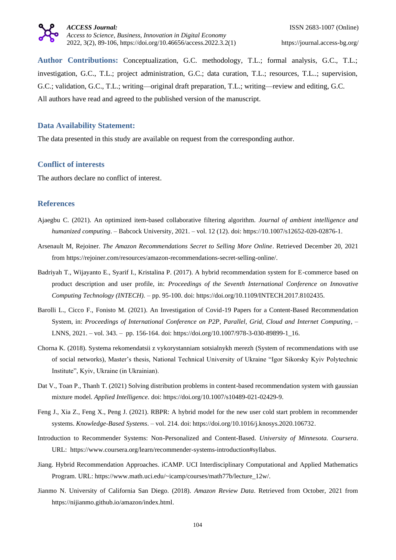

**Author Contributions:** Conceptualization, G.C. methodology, T.L.; formal analysis, G.C., T.L.; investigation, G.C., T.L.; project administration, G.C.; data curation, T.L.; resources, T.L..; supervision, G.C.; validation, G.C., T.L.; writing—original draft preparation, T.L.; writing—review and editing, G.C. All authors have read and agreed to the published version of the manuscript.

#### **Data Availability Statement:**

The data presented in this study are available on request from the corresponding author.

#### **Conflict of interests**

The authors declare no conflict of interest.

## **References**

- Ajaegbu C. (2021). An optimized item-based collaborative filtering algorithm. *Journal of ambient intelligence and humanized computing*. – Babcock University, 2021. – vol. 12 (12). doi: https://10.1007/s12652-020-02876-1.
- Arsenault M, Rejoiner. *The Amazon Recommendations Secret to Selling More Online*. Retrieved December 20, 2021 from https://rejoiner.com/resources/amazon-recommendations-secret-selling-online/.
- Badriyah T., Wijayanto E., Syarif I., Kristalina P. (2017). A hybrid recommendation system for E-commerce based on product description and user profile, in: *Proceedings of the Seventh International Conference on Innovative Computing Technology (INTECH).* – pp. 95-100. doi: https://doi.org/10.1109/INTECH.2017.8102435.
- Barolli L., Cicco F., Fonisto M. (2021). An Investigation of Covid-19 Papers for a Content-Based Recommendation System, in: *Proceedings of International Conference on P2P, Parallel, Grid, Cloud and Internet Computing*, – LNNS, 2021. – vol. 343. – pp. 156-164. doi: https://doi.org/10.1007/978-3-030-89899-1\_16.
- Chorna K. (2018). Systema rekomendatsii z vykorystanniam sotsialnykh merezh (System of recommendations with use of social networks), Master's thesis, National Technical University of Ukraine "Igor Sikorsky Kyiv Polytechnic Institute", Kyiv, Ukraine (in Ukrainian).
- Dat V., Toan P., Thanh T. (2021) Solving distribution problems in content-based recommendation system with gaussian mixture model. *Applied Intelligence.* doi: https://doi.org/10.1007/s10489-021-02429-9.
- Feng J., Xia Z., Feng X., Peng J. (2021). RBPR: A hybrid model for the new user cold start problem in recommender systems. *Knowledge-Based Systems*. – vol. 214. doi: https://doi.org/10.1016/j.knosys.2020.106732.
- Introduction to Recommender Systems: Non-Personalized and Content-Based. *University of Minnesota. Coursera*. URL: [https://www.coursera.org/learn/recommender-systems-introduction#syllabus.](https://www.coursera.org/learn/recommender-systems-introduction#syllabus)
- Jiang. Hybrid Recommendation Approaches. iCAMP. UCI Interdisciplinary Computational and Applied Mathematics Program. URL: https://www.math.uci.edu/~icamp/courses/math77b/lecture\_12w/.
- Jianmo N. University of California San Diego. (2018). *Amazon Review Data*. Retrieved from October, 2021 from [https://nijianmo.github.io/amazon/index.html.](https://nijianmo.github.io/amazon/index.html)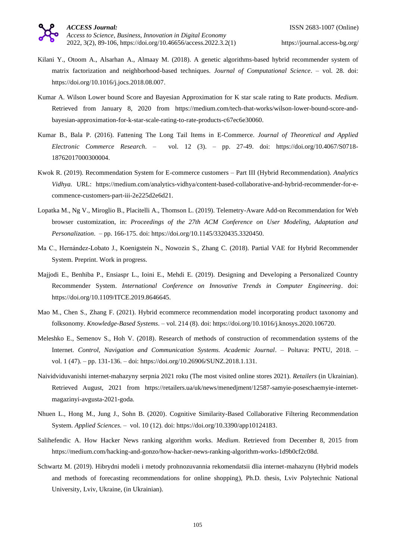- Kilani Y., Otoom A., Alsarhan A., Almaay M. (2018). A genetic algorithms-based hybrid recommender system of matrix factorization and neighborhood-based techniques. *Journal of Computational Science*. – vol. 28. doi: https://doi.org/10.1016/j.jocs.2018.08.007.
- Kumar A. Wilson Lower bound Score and Bayesian Approximation for K star scale rating to Rate products. *Medium*. Retrieved from January 8, 2020 from https://medium.com/tech-that-works/wilson-lower-bound-score-andbayesian-approximation-for-k-star-scale-rating-to-rate-products-c67ec6e30060.
- Kumar B., Bala P. (2016). Fattening The Long Tail Items in E-Commerce. *Journal of Theoretical and Applied Electronic Commerce Research*. – vol. 12 (3). – pp. 27-49. doi: https://doi.org/10.4067/S0718- 18762017000300004.
- Kwok R. (2019). Recommendation System for E-commerce customers Part III (Hybrid Recommendation). *Analytics Vidhya.* URL: https://medium.com/analytics-vidhya/content-based-collaborative-and-hybrid-recommender-for-ecommence-customers-part-iii-2e225d2e6d21.
- Lopatka M., Ng V., Miroglio B., Placitelli A., Thomson L. (2019). Telemetry-Aware Add-on Recommendation for Web browser customization, in: *Proceedings of the 27th ACM Conference on User Modeling, Adaptation and Personalization*. – pp. 166-175. doi: https://doi.org/10.1145/3320435.3320450.
- Ma C., Hernández-Lobato J., Koenigstein N., Nowozin S., Zhang C. (2018). Partial VAE for Hybrid Recommender System. Preprint. Work in progress.
- Majjodi E., Benhiba P., Ensiaspr L., Ioini E., Mehdi E. (2019). Designing and Developing a Personalized Country Recommender System. *International Conference on Innovative Trends in Computer Engineering*. doi: https://doi.org/10.1109/ITCE.2019.8646645.
- Mao M., Chen S., Zhang F. (2021). Hybrid ecommerce recommendation model incorporating product taxonomy and folksonomy. *Knowledge-Based Systems*. – vol. 214 (8). doi: https://doi.org/10.1016/j.knosys.2020.106720.
- Meleshko E., Semenov S., Hoh V. (2018). Research of methods of construction of recommendation systems of the Internet. *Control, Navigation and Communication Systems. Academic Journal*. – Poltava: PNTU, 2018. – vol. 1 (47). – pp. 131-136. – doi: https://doi.org/10.26906/SUNZ.2018.1.131.
- Naividviduvanishi internet-mahazyny serpnia 2021 roku (The most visited online stores 2021). *Retailers* (in Ukrainian). Retrieved August, 2021 from https://retailers.ua/uk/news/menedjment/12587-samyie-poseschaemyie-internetmagazinyi-avgusta-2021-goda.
- Nhuen L., Hong M., Jung J., Sohn B. (2020). Cognitive Similarity-Based Collaborative Filtering Recommendation System. *Applied Sciences.* – vol. 10 (12). doi: https://doi.org/10.3390/app10124183.
- Salihefendic A. How Hacker News ranking algorithm works. *Medium*. Retrieved from December 8, 2015 from https://medium.com/hacking-and-gonzo/how-hacker-news-ranking-algorithm-works-1d9b0cf2c08d.
- Schwartz M. (2019). Hibrydni modeli i metody prohnozuvannia rekomendatsii dlia internet-mahazynu (Hybrid models and methods of forecasting recommendations for online shopping), Ph.D. thesis, Lviv Polytechnic National University, Lviv, Ukraine, (in Ukrainian).